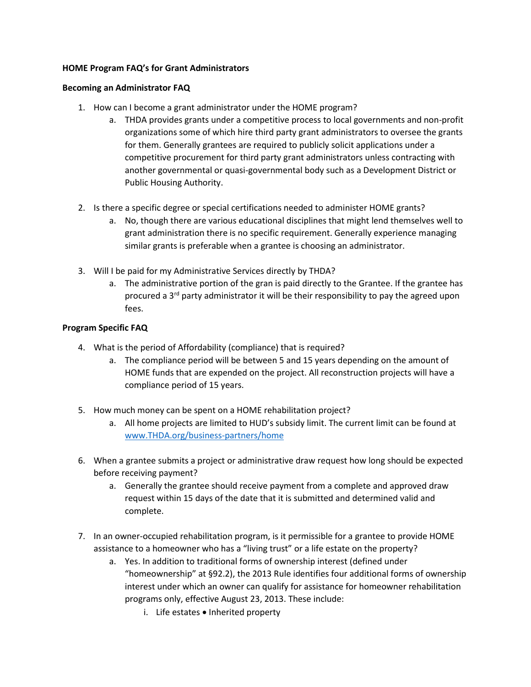## **HOME Program FAQ's for Grant Administrators**

## **Becoming an Administrator FAQ**

- 1. How can I become a grant administrator under the HOME program?
	- a. THDA provides grants under a competitive process to local governments and non-profit organizations some of which hire third party grant administrators to oversee the grants for them. Generally grantees are required to publicly solicit applications under a competitive procurement for third party grant administrators unless contracting with another governmental or quasi-governmental body such as a Development District or Public Housing Authority.
- 2. Is there a specific degree or special certifications needed to administer HOME grants?
	- a. No, though there are various educational disciplines that might lend themselves well to grant administration there is no specific requirement. Generally experience managing similar grants is preferable when a grantee is choosing an administrator.
- 3. Will I be paid for my Administrative Services directly by THDA?
	- a. The administrative portion of the gran is paid directly to the Grantee. If the grantee has procured a 3rd party administrator it will be their responsibility to pay the agreed upon fees.

## **Program Specific FAQ**

- 4. What is the period of Affordability (compliance) that is required?
	- a. The compliance period will be between 5 and 15 years depending on the amount of HOME funds that are expended on the project. All reconstruction projects will have a compliance period of 15 years.
- 5. How much money can be spent on a HOME rehabilitation project?
	- a. All home projects are limited to HUD's subsidy limit. The current limit can be found at [www.THDA.org/business-partners/home](http://www.thda.org/business-partners/home)
- 6. When a grantee submits a project or administrative draw request how long should be expected before receiving payment?
	- a. Generally the grantee should receive payment from a complete and approved draw request within 15 days of the date that it is submitted and determined valid and complete.
- 7. In an owner-occupied rehabilitation program, is it permissible for a grantee to provide HOME assistance to a homeowner who has a "living trust" or a life estate on the property?
	- a. Yes. In addition to traditional forms of ownership interest (defined under "homeownership" at §92.2), the 2013 Rule identifies four additional forms of ownership interest under which an owner can qualify for assistance for homeowner rehabilitation programs only, effective August 23, 2013. These include:
		- i. Life estates  $\bullet$  Inherited property